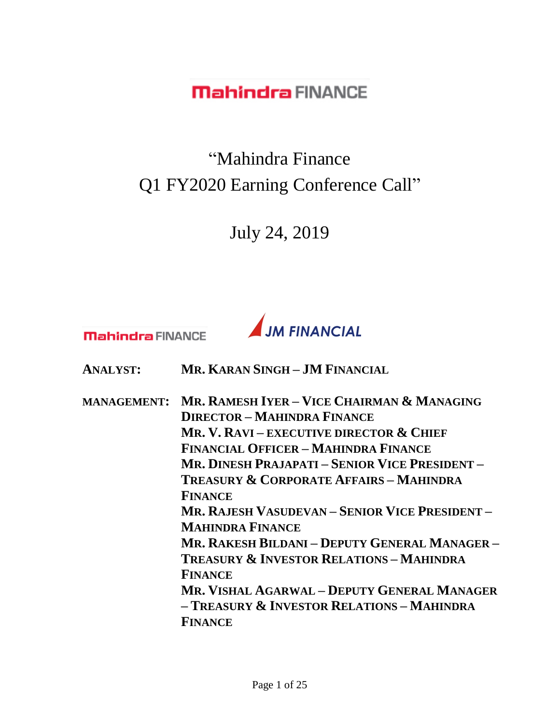"Mahindra Finance Q1 FY2020 Earning Conference Call"

July 24, 2019

**Mahindra FINANCE** 



**ANALYST: MR. KARAN SINGH – JM FINANCIAL**

**MANAGEMENT: MR. RAMESH IYER – VICE CHAIRMAN & MANAGING DIRECTOR – MAHINDRA FINANCE MR. V. RAVI – EXECUTIVE DIRECTOR & CHIEF FINANCIAL OFFICER – MAHINDRA FINANCE MR. DINESH PRAJAPATI – SENIOR VICE PRESIDENT – TREASURY & CORPORATE AFFAIRS – MAHINDRA FINANCE MR. RAJESH VASUDEVAN – SENIOR VICE PRESIDENT – MAHINDRA FINANCE MR. RAKESH BILDANI – DEPUTY GENERAL MANAGER – TREASURY & INVESTOR RELATIONS – MAHINDRA FINANCE MR. VISHAL AGARWAL – DEPUTY GENERAL MANAGER – TREASURY & INVESTOR RELATIONS – MAHINDRA FINANCE**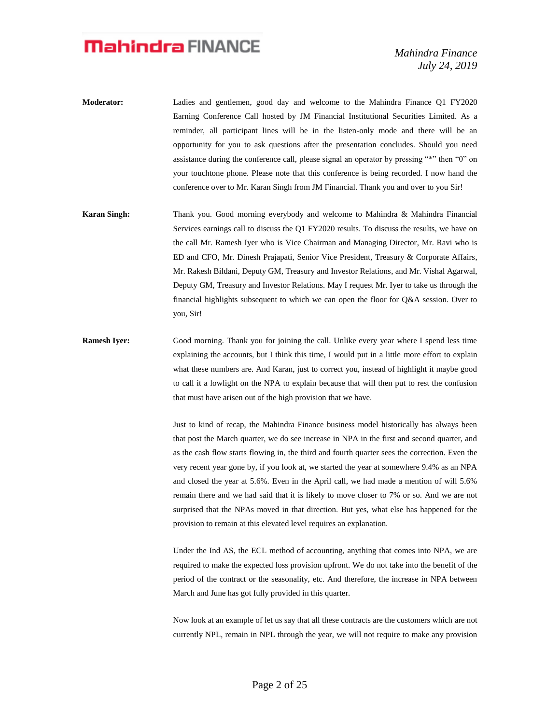- **Moderator:** Ladies and gentlemen, good day and welcome to the Mahindra Finance Q1 FY2020 Earning Conference Call hosted by JM Financial Institutional Securities Limited. As a reminder, all participant lines will be in the listen-only mode and there will be an opportunity for you to ask questions after the presentation concludes. Should you need assistance during the conference call, please signal an operator by pressing "\*" then "0" on your touchtone phone. Please note that this conference is being recorded. I now hand the conference over to Mr. Karan Singh from JM Financial. Thank you and over to you Sir!
- **Karan Singh:** Thank you. Good morning everybody and welcome to Mahindra & Mahindra Financial Services earnings call to discuss the Q1 FY2020 results. To discuss the results, we have on the call Mr. Ramesh Iyer who is Vice Chairman and Managing Director, Mr. Ravi who is ED and CFO, Mr. Dinesh Prajapati, Senior Vice President, Treasury & Corporate Affairs, Mr. Rakesh Bildani, Deputy GM, Treasury and Investor Relations, and Mr. Vishal Agarwal, Deputy GM, Treasury and Investor Relations. May I request Mr. Iyer to take us through the financial highlights subsequent to which we can open the floor for Q&A session. Over to you, Sir!
- **Ramesh Iyer:** Good morning. Thank you for joining the call. Unlike every year where I spend less time explaining the accounts, but I think this time, I would put in a little more effort to explain what these numbers are. And Karan, just to correct you, instead of highlight it maybe good to call it a lowlight on the NPA to explain because that will then put to rest the confusion that must have arisen out of the high provision that we have.

Just to kind of recap, the Mahindra Finance business model historically has always been that post the March quarter, we do see increase in NPA in the first and second quarter, and as the cash flow starts flowing in, the third and fourth quarter sees the correction. Even the very recent year gone by, if you look at, we started the year at somewhere 9.4% as an NPA and closed the year at 5.6%. Even in the April call, we had made a mention of will 5.6% remain there and we had said that it is likely to move closer to 7% or so. And we are not surprised that the NPAs moved in that direction. But yes, what else has happened for the provision to remain at this elevated level requires an explanation.

Under the Ind AS, the ECL method of accounting, anything that comes into NPA, we are required to make the expected loss provision upfront. We do not take into the benefit of the period of the contract or the seasonality, etc. And therefore, the increase in NPA between March and June has got fully provided in this quarter.

Now look at an example of let us say that all these contracts are the customers which are not currently NPL, remain in NPL through the year, we will not require to make any provision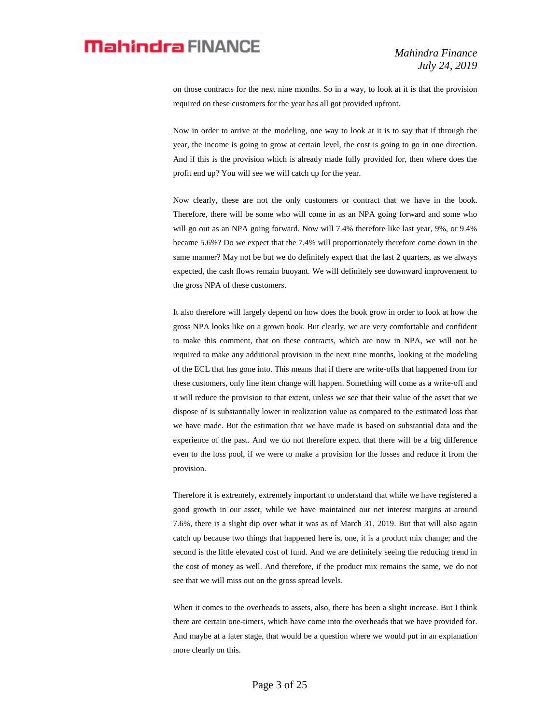on those contracts for the next nine months. So in a way, to look at it is that the provision required on these customers for the year has all got provided upfront.

Now in order to arrive at the modeling, one way to look at it is to say that if through the year, the income is going to grow at certain level, the cost is going to go in one direction. And if this is the provision which is already made fully provided for, then where does the profit end up? You will see we will catch up for the year.

Now clearly, these are not the only customers or contract that we have in the book. Therefore, there will be some who will come in as an NPA going forward and some who will go out as an NPA going forward. Now will 7.4% therefore like last year, 9%, or 9.4% became 5.6%? Do we expect that the 7.4% will proportionately therefore come down in the same manner? May not be but we do definitely expect that the last 2 quarters, as we always expected, the cash flows remain buoyant. We will definitely see downward improvement to the gross NPA of these customers.

It also therefore will largely depend on how does the book grow in order to look at how the gross NPA looks like on a grown book. But clearly, we are very comfortable and confident to make this comment, that on these contracts, which are now in NPA, we will not be required to make any additional provision in the next nine months, looking at the modeling of the ECL that has gone into. This means that if there are write-offs that happened from for these customers, only line item change will happen. Something will come as a write-off and it will reduce the provision to that extent, unless we see that their value of the asset that we dispose of is substantially lower in realization value as compared to the estimated loss that we have made. But the estimation that we have made is based on substantial data and the experience of the past. And we do not therefore expect that there will be a big difference even to the loss pool, if we were to make a provision for the losses and reduce it from the provision.

Therefore it is extremely, extremely important to understand that while we have registered a good growth in our asset, while we have maintained our net interest margins at around 7.6%, there is a slight dip over what it was as of March 31, 2019. But that will also again catch up because two things that happened here is, one, it is a product mix change; and the second is the little elevated cost of fund. And we are definitely seeing the reducing trend in the cost of money as well. And therefore, if the product mix remains the same, we do not see that we will miss out on the gross spread levels.

When it comes to the overheads to assets, also, there has been a slight increase. But I think there are certain one-timers, which have come into the overheads that we have provided for. And maybe at a later stage, that would be a question where we would put in an explanation more clearly on this.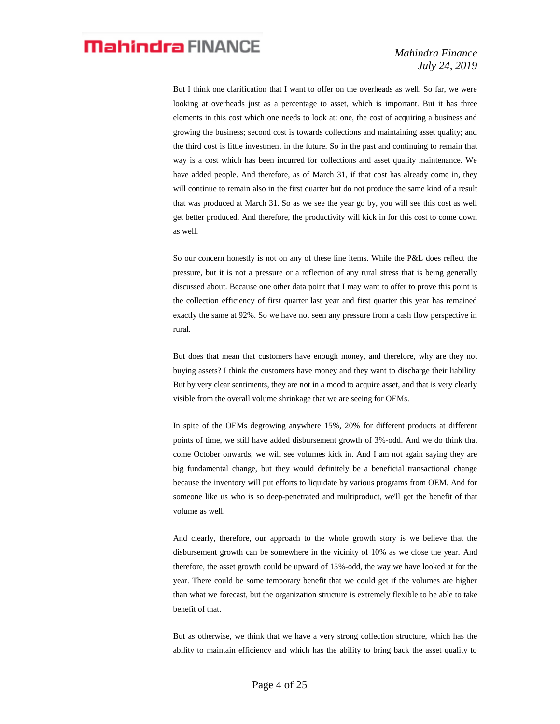But I think one clarification that I want to offer on the overheads as well. So far, we were looking at overheads just as a percentage to asset, which is important. But it has three elements in this cost which one needs to look at: one, the cost of acquiring a business and growing the business; second cost is towards collections and maintaining asset quality; and the third cost is little investment in the future. So in the past and continuing to remain that way is a cost which has been incurred for collections and asset quality maintenance. We have added people. And therefore, as of March 31, if that cost has already come in, they will continue to remain also in the first quarter but do not produce the same kind of a result that was produced at March 31. So as we see the year go by, you will see this cost as well get better produced. And therefore, the productivity will kick in for this cost to come down as well.

So our concern honestly is not on any of these line items. While the P&L does reflect the pressure, but it is not a pressure or a reflection of any rural stress that is being generally discussed about. Because one other data point that I may want to offer to prove this point is the collection efficiency of first quarter last year and first quarter this year has remained exactly the same at 92%. So we have not seen any pressure from a cash flow perspective in rural.

But does that mean that customers have enough money, and therefore, why are they not buying assets? I think the customers have money and they want to discharge their liability. But by very clear sentiments, they are not in a mood to acquire asset, and that is very clearly visible from the overall volume shrinkage that we are seeing for OEMs.

In spite of the OEMs degrowing anywhere 15%, 20% for different products at different points of time, we still have added disbursement growth of 3%-odd. And we do think that come October onwards, we will see volumes kick in. And I am not again saying they are big fundamental change, but they would definitely be a beneficial transactional change because the inventory will put efforts to liquidate by various programs from OEM. And for someone like us who is so deep-penetrated and multiproduct, we'll get the benefit of that volume as well.

And clearly, therefore, our approach to the whole growth story is we believe that the disbursement growth can be somewhere in the vicinity of 10% as we close the year. And therefore, the asset growth could be upward of 15%-odd, the way we have looked at for the year. There could be some temporary benefit that we could get if the volumes are higher than what we forecast, but the organization structure is extremely flexible to be able to take benefit of that.

But as otherwise, we think that we have a very strong collection structure, which has the ability to maintain efficiency and which has the ability to bring back the asset quality to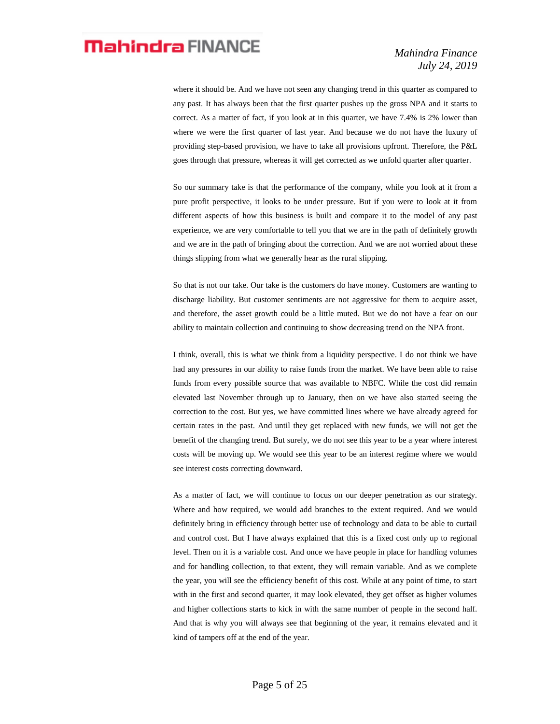where it should be. And we have not seen any changing trend in this quarter as compared to any past. It has always been that the first quarter pushes up the gross NPA and it starts to correct. As a matter of fact, if you look at in this quarter, we have 7.4% is 2% lower than where we were the first quarter of last year. And because we do not have the luxury of providing step-based provision, we have to take all provisions upfront. Therefore, the P&L goes through that pressure, whereas it will get corrected as we unfold quarter after quarter.

So our summary take is that the performance of the company, while you look at it from a pure profit perspective, it looks to be under pressure. But if you were to look at it from different aspects of how this business is built and compare it to the model of any past experience, we are very comfortable to tell you that we are in the path of definitely growth and we are in the path of bringing about the correction. And we are not worried about these things slipping from what we generally hear as the rural slipping.

So that is not our take. Our take is the customers do have money. Customers are wanting to discharge liability. But customer sentiments are not aggressive for them to acquire asset, and therefore, the asset growth could be a little muted. But we do not have a fear on our ability to maintain collection and continuing to show decreasing trend on the NPA front.

I think, overall, this is what we think from a liquidity perspective. I do not think we have had any pressures in our ability to raise funds from the market. We have been able to raise funds from every possible source that was available to NBFC. While the cost did remain elevated last November through up to January, then on we have also started seeing the correction to the cost. But yes, we have committed lines where we have already agreed for certain rates in the past. And until they get replaced with new funds, we will not get the benefit of the changing trend. But surely, we do not see this year to be a year where interest costs will be moving up. We would see this year to be an interest regime where we would see interest costs correcting downward.

As a matter of fact, we will continue to focus on our deeper penetration as our strategy. Where and how required, we would add branches to the extent required. And we would definitely bring in efficiency through better use of technology and data to be able to curtail and control cost. But I have always explained that this is a fixed cost only up to regional level. Then on it is a variable cost. And once we have people in place for handling volumes and for handling collection, to that extent, they will remain variable. And as we complete the year, you will see the efficiency benefit of this cost. While at any point of time, to start with in the first and second quarter, it may look elevated, they get offset as higher volumes and higher collections starts to kick in with the same number of people in the second half. And that is why you will always see that beginning of the year, it remains elevated and it kind of tampers off at the end of the year.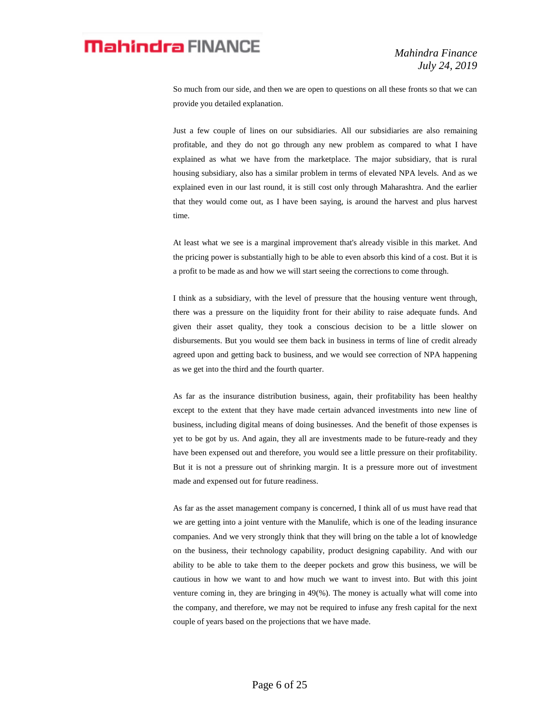So much from our side, and then we are open to questions on all these fronts so that we can provide you detailed explanation.

Just a few couple of lines on our subsidiaries. All our subsidiaries are also remaining profitable, and they do not go through any new problem as compared to what I have explained as what we have from the marketplace. The major subsidiary, that is rural housing subsidiary, also has a similar problem in terms of elevated NPA levels. And as we explained even in our last round, it is still cost only through Maharashtra. And the earlier that they would come out, as I have been saying, is around the harvest and plus harvest time.

At least what we see is a marginal improvement that's already visible in this market. And the pricing power is substantially high to be able to even absorb this kind of a cost. But it is a profit to be made as and how we will start seeing the corrections to come through.

I think as a subsidiary, with the level of pressure that the housing venture went through, there was a pressure on the liquidity front for their ability to raise adequate funds. And given their asset quality, they took a conscious decision to be a little slower on disbursements. But you would see them back in business in terms of line of credit already agreed upon and getting back to business, and we would see correction of NPA happening as we get into the third and the fourth quarter.

As far as the insurance distribution business, again, their profitability has been healthy except to the extent that they have made certain advanced investments into new line of business, including digital means of doing businesses. And the benefit of those expenses is yet to be got by us. And again, they all are investments made to be future-ready and they have been expensed out and therefore, you would see a little pressure on their profitability. But it is not a pressure out of shrinking margin. It is a pressure more out of investment made and expensed out for future readiness.

As far as the asset management company is concerned, I think all of us must have read that we are getting into a joint venture with the Manulife, which is one of the leading insurance companies. And we very strongly think that they will bring on the table a lot of knowledge on the business, their technology capability, product designing capability. And with our ability to be able to take them to the deeper pockets and grow this business, we will be cautious in how we want to and how much we want to invest into. But with this joint venture coming in, they are bringing in 49(%). The money is actually what will come into the company, and therefore, we may not be required to infuse any fresh capital for the next couple of years based on the projections that we have made.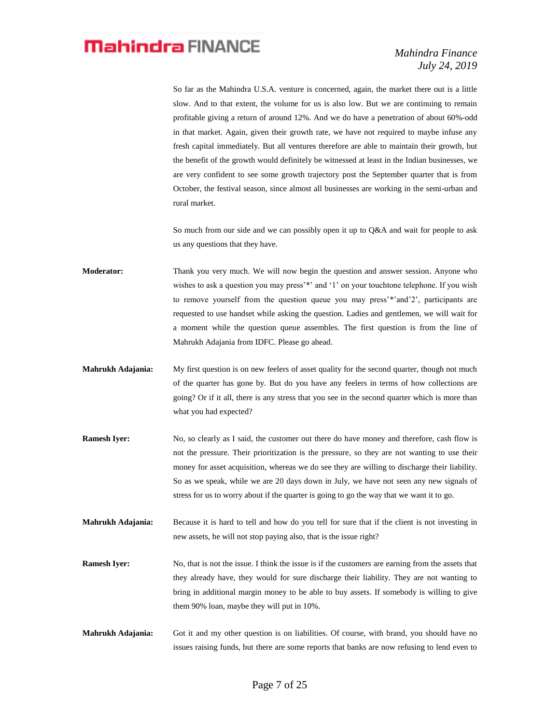So far as the Mahindra U.S.A. venture is concerned, again, the market there out is a little slow. And to that extent, the volume for us is also low. But we are continuing to remain profitable giving a return of around 12%. And we do have a penetration of about 60%-odd in that market. Again, given their growth rate, we have not required to maybe infuse any fresh capital immediately. But all ventures therefore are able to maintain their growth, but the benefit of the growth would definitely be witnessed at least in the Indian businesses, we are very confident to see some growth trajectory post the September quarter that is from October, the festival season, since almost all businesses are working in the semi-urban and rural market.

So much from our side and we can possibly open it up to Q&A and wait for people to ask us any questions that they have.

**Moderator:** Thank you very much. We will now begin the question and answer session. Anyone who wishes to ask a question you may press'\*' and '1' on your touchtone telephone. If you wish to remove yourself from the question queue you may press'\*'and'2', participants are requested to use handset while asking the question. Ladies and gentlemen, we will wait for a moment while the question queue assembles. The first question is from the line of Mahrukh Adajania from IDFC. Please go ahead.

- **Mahrukh Adajania:** My first question is on new feelers of asset quality for the second quarter, though not much of the quarter has gone by. But do you have any feelers in terms of how collections are going? Or if it all, there is any stress that you see in the second quarter which is more than what you had expected?
- **Ramesh Iyer:** No, so clearly as I said, the customer out there do have money and therefore, cash flow is not the pressure. Their prioritization is the pressure, so they are not wanting to use their money for asset acquisition, whereas we do see they are willing to discharge their liability. So as we speak, while we are 20 days down in July, we have not seen any new signals of stress for us to worry about if the quarter is going to go the way that we want it to go.
- **Mahrukh Adajania:** Because it is hard to tell and how do you tell for sure that if the client is not investing in new assets, he will not stop paying also, that is the issue right?
- **Ramesh Iyer:** No, that is not the issue. I think the issue is if the customers are earning from the assets that they already have, they would for sure discharge their liability. They are not wanting to bring in additional margin money to be able to buy assets. If somebody is willing to give them 90% loan, maybe they will put in 10%.
- **Mahrukh Adajania:** Got it and my other question is on liabilities. Of course, with brand, you should have no issues raising funds, but there are some reports that banks are now refusing to lend even to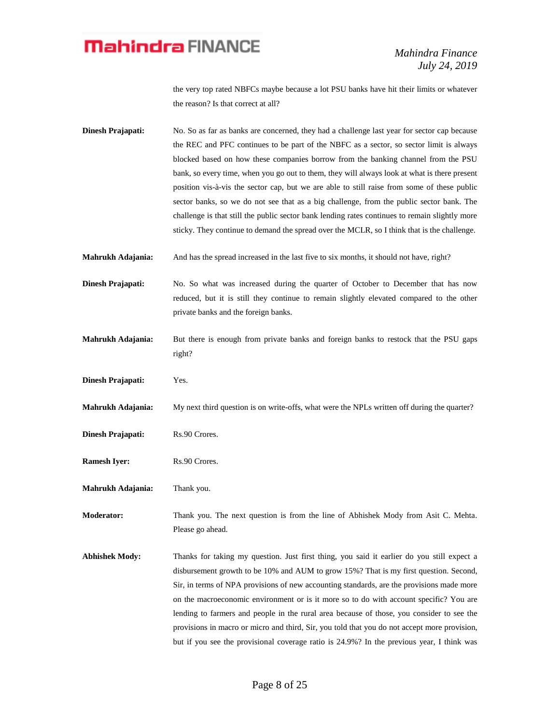the very top rated NBFCs maybe because a lot PSU banks have hit their limits or whatever the reason? Is that correct at all?

**Dinesh Prajapati:** No. So as far as banks are concerned, they had a challenge last year for sector cap because the REC and PFC continues to be part of the NBFC as a sector, so sector limit is always blocked based on how these companies borrow from the banking channel from the PSU bank, so every time, when you go out to them, they will always look at what is there present position vis-à-vis the sector cap, but we are able to still raise from some of these public sector banks, so we do not see that as a big challenge, from the public sector bank. The challenge is that still the public sector bank lending rates continues to remain slightly more sticky. They continue to demand the spread over the MCLR, so I think that is the challenge.

**Mahrukh Adajania:** And has the spread increased in the last five to six months, it should not have, right?

**Dinesh Prajapati:** No. So what was increased during the quarter of October to December that has now reduced, but it is still they continue to remain slightly elevated compared to the other private banks and the foreign banks.

- **Mahrukh Adajania:** But there is enough from private banks and foreign banks to restock that the PSU gaps right?
- **Dinesh Prajapati:** Yes.

**Mahrukh Adajania:** My next third question is on write-offs, what were the NPLs written off during the quarter?

- **Dinesh Prajapati:** Rs.90 Crores.
- **Ramesh Iyer:** Rs.90 Crores.
- **Mahrukh Adajania:** Thank you.

**Moderator:** Thank you. The next question is from the line of Abhishek Mody from Asit C. Mehta. Please go ahead.

**Abhishek Mody:** Thanks for taking my question. Just first thing, you said it earlier do you still expect a disbursement growth to be 10% and AUM to grow 15%? That is my first question. Second, Sir, in terms of NPA provisions of new accounting standards, are the provisions made more on the macroeconomic environment or is it more so to do with account specific? You are lending to farmers and people in the rural area because of those, you consider to see the provisions in macro or micro and third, Sir, you told that you do not accept more provision, but if you see the provisional coverage ratio is 24.9%? In the previous year, I think was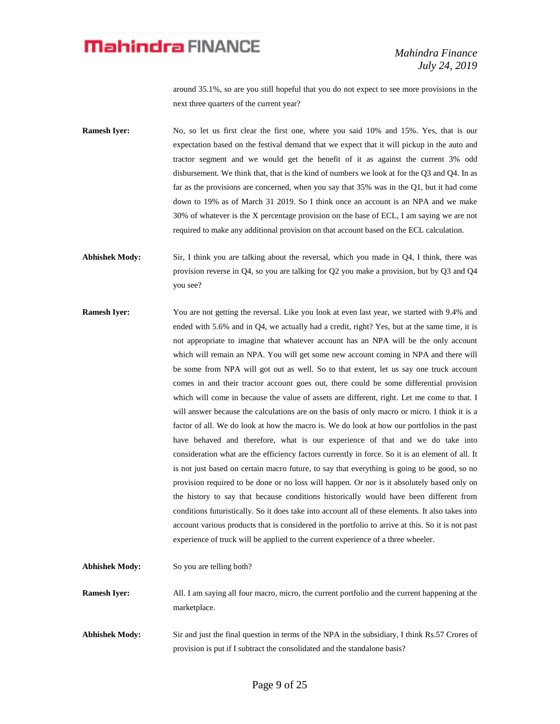around 35.1%, so are you still hopeful that you do not expect to see more provisions in the next three quarters of the current year?

**Ramesh Iyer:** No, so let us first clear the first one, where you said 10% and 15%. Yes, that is our expectation based on the festival demand that we expect that it will pickup in the auto and tractor segment and we would get the benefit of it as against the current 3% odd disbursement. We think that, that is the kind of numbers we look at for the Q3 and Q4. In as far as the provisions are concerned, when you say that 35% was in the Q1, but it had come down to 19% as of March 31 2019. So I think once an account is an NPA and we make 30% of whatever is the X percentage provision on the base of ECL, I am saying we are not required to make any additional provision on that account based on the ECL calculation.

**Abhishek Mody:** Sir, I think you are talking about the reversal, which you made in Q4, I think, there was provision reverse in Q4, so you are talking for Q2 you make a provision, but by Q3 and Q4 you see?

- **Ramesh Iyer:** You are not getting the reversal. Like you look at even last year, we started with 9.4% and ended with 5.6% and in Q4, we actually had a credit, right? Yes, but at the same time, it is not appropriate to imagine that whatever account has an NPA will be the only account which will remain an NPA. You will get some new account coming in NPA and there will be some from NPA will got out as well. So to that extent, let us say one truck account comes in and their tractor account goes out, there could be some differential provision which will come in because the value of assets are different, right. Let me come to that. I will answer because the calculations are on the basis of only macro or micro. I think it is a factor of all. We do look at how the macro is. We do look at how our portfolios in the past have behaved and therefore, what is our experience of that and we do take into consideration what are the efficiency factors currently in force. So it is an element of all. It is not just based on certain macro future, to say that everything is going to be good, so no provision required to be done or no loss will happen. Or nor is it absolutely based only on the history to say that because conditions historically would have been different from conditions futuristically. So it does take into account all of these elements. It also takes into account various products that is considered in the portfolio to arrive at this. So it is not past experience of truck will be applied to the current experience of a three wheeler.
- Abhishek Mody: So you are telling both? **Ramesh Iyer:** All. I am saying all four macro, micro, the current portfolio and the current happening at the marketplace. **Abhishek Mody:** Sir and just the final question in terms of the NPA in the subsidiary, I think Rs.57 Crores of
	- provision is put if I subtract the consolidated and the standalone basis?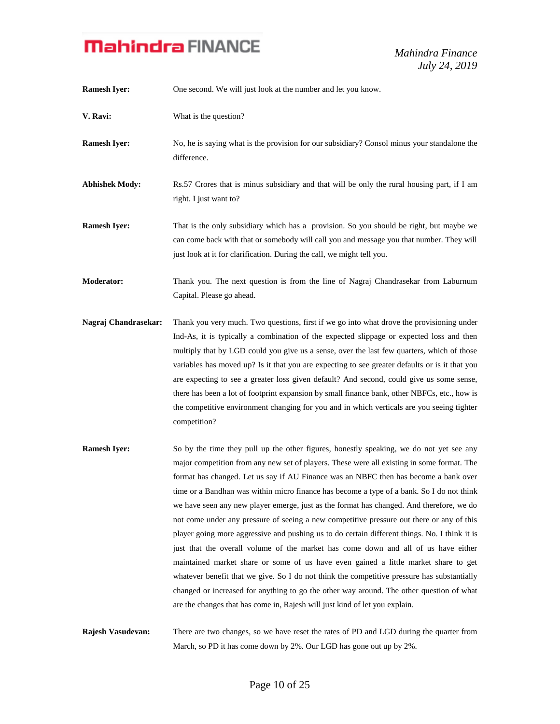*Mahindra Finance July 24, 2019*

| <b>Ramesh Iyer:</b>   | One second. We will just look at the number and let you know.                                                                                                                                                                                                                                                                                                                                                                                                                                                                                                                                                                                                                                                                                                                                                                                                                                                                                                                                                                                                                                                               |
|-----------------------|-----------------------------------------------------------------------------------------------------------------------------------------------------------------------------------------------------------------------------------------------------------------------------------------------------------------------------------------------------------------------------------------------------------------------------------------------------------------------------------------------------------------------------------------------------------------------------------------------------------------------------------------------------------------------------------------------------------------------------------------------------------------------------------------------------------------------------------------------------------------------------------------------------------------------------------------------------------------------------------------------------------------------------------------------------------------------------------------------------------------------------|
| V. Ravi:              | What is the question?                                                                                                                                                                                                                                                                                                                                                                                                                                                                                                                                                                                                                                                                                                                                                                                                                                                                                                                                                                                                                                                                                                       |
| <b>Ramesh Iyer:</b>   | No, he is saying what is the provision for our subsidiary? Consol minus your standalone the<br>difference.                                                                                                                                                                                                                                                                                                                                                                                                                                                                                                                                                                                                                                                                                                                                                                                                                                                                                                                                                                                                                  |
| <b>Abhishek Mody:</b> | Rs.57 Crores that is minus subsidiary and that will be only the rural housing part, if I am<br>right. I just want to?                                                                                                                                                                                                                                                                                                                                                                                                                                                                                                                                                                                                                                                                                                                                                                                                                                                                                                                                                                                                       |
| <b>Ramesh Iyer:</b>   | That is the only subsidiary which has a provision. So you should be right, but maybe we<br>can come back with that or somebody will call you and message you that number. They will<br>just look at it for clarification. During the call, we might tell you.                                                                                                                                                                                                                                                                                                                                                                                                                                                                                                                                                                                                                                                                                                                                                                                                                                                               |
| <b>Moderator:</b>     | Thank you. The next question is from the line of Nagraj Chandrasekar from Laburnum<br>Capital. Please go ahead.                                                                                                                                                                                                                                                                                                                                                                                                                                                                                                                                                                                                                                                                                                                                                                                                                                                                                                                                                                                                             |
| Nagraj Chandrasekar:  | Thank you very much. Two questions, first if we go into what drove the provisioning under<br>Ind-As, it is typically a combination of the expected slippage or expected loss and then<br>multiply that by LGD could you give us a sense, over the last few quarters, which of those<br>variables has moved up? Is it that you are expecting to see greater defaults or is it that you<br>are expecting to see a greater loss given default? And second, could give us some sense,<br>there has been a lot of footprint expansion by small finance bank, other NBFCs, etc., how is<br>the competitive environment changing for you and in which verticals are you seeing tighter<br>competition?                                                                                                                                                                                                                                                                                                                                                                                                                             |
| <b>Ramesh Iyer:</b>   | So by the time they pull up the other figures, honestly speaking, we do not yet see any<br>major competition from any new set of players. These were all existing in some format. The<br>format has changed. Let us say if AU Finance was an NBFC then has become a bank over<br>time or a Bandhan was within micro finance has become a type of a bank. So I do not think<br>we have seen any new player emerge, just as the format has changed. And therefore, we do<br>not come under any pressure of seeing a new competitive pressure out there or any of this<br>player going more aggressive and pushing us to do certain different things. No. I think it is<br>just that the overall volume of the market has come down and all of us have either<br>maintained market share or some of us have even gained a little market share to get<br>whatever benefit that we give. So I do not think the competitive pressure has substantially<br>changed or increased for anything to go the other way around. The other question of what<br>are the changes that has come in, Rajesh will just kind of let you explain. |
| Rajesh Vasudevan:     | There are two changes, so we have reset the rates of PD and LGD during the quarter from                                                                                                                                                                                                                                                                                                                                                                                                                                                                                                                                                                                                                                                                                                                                                                                                                                                                                                                                                                                                                                     |

March, so PD it has come down by 2%. Our LGD has gone out up by 2%.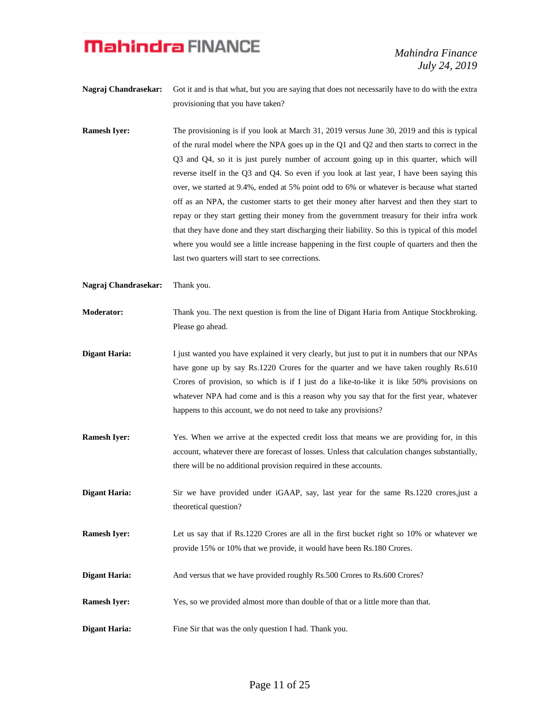*Mahindra Finance July 24, 2019*

- **Nagraj Chandrasekar:** Got it and is that what, but you are saying that does not necessarily have to do with the extra provisioning that you have taken?
- **Ramesh Iyer:** The provisioning is if you look at March 31, 2019 versus June 30, 2019 and this is typical of the rural model where the NPA goes up in the Q1 and Q2 and then starts to correct in the Q3 and Q4, so it is just purely number of account going up in this quarter, which will reverse itself in the Q3 and Q4. So even if you look at last year, I have been saying this over, we started at 9.4%, ended at 5% point odd to 6% or whatever is because what started off as an NPA, the customer starts to get their money after harvest and then they start to repay or they start getting their money from the government treasury for their infra work that they have done and they start discharging their liability. So this is typical of this model where you would see a little increase happening in the first couple of quarters and then the last two quarters will start to see corrections.
- **Nagraj Chandrasekar:** Thank you.
- **Moderator:** Thank you. The next question is from the line of Digant Haria from Antique Stockbroking. Please go ahead.
- **Digant Haria:** I just wanted you have explained it very clearly, but just to put it in numbers that our NPAs have gone up by say Rs.1220 Crores for the quarter and we have taken roughly Rs.610 Crores of provision, so which is if I just do a like-to-like it is like 50% provisions on whatever NPA had come and is this a reason why you say that for the first year, whatever happens to this account, we do not need to take any provisions?
- **Ramesh Iyer:** Yes. When we arrive at the expected credit loss that means we are providing for, in this account, whatever there are forecast of losses. Unless that calculation changes substantially, there will be no additional provision required in these accounts.
- **Digant Haria:** Sir we have provided under iGAAP, say, last year for the same Rs.1220 crores, just a theoretical question?
- **Ramesh Iyer:** Let us say that if Rs.1220 Crores are all in the first bucket right so 10% or whatever we provide 15% or 10% that we provide, it would have been Rs.180 Crores.
- **Digant Haria:** And versus that we have provided roughly Rs.500 Crores to Rs.600 Crores?
- **Ramesh Iyer:** Yes, so we provided almost more than double of that or a little more than that.
- **Digant Haria:** Fine Sir that was the only question I had. Thank you.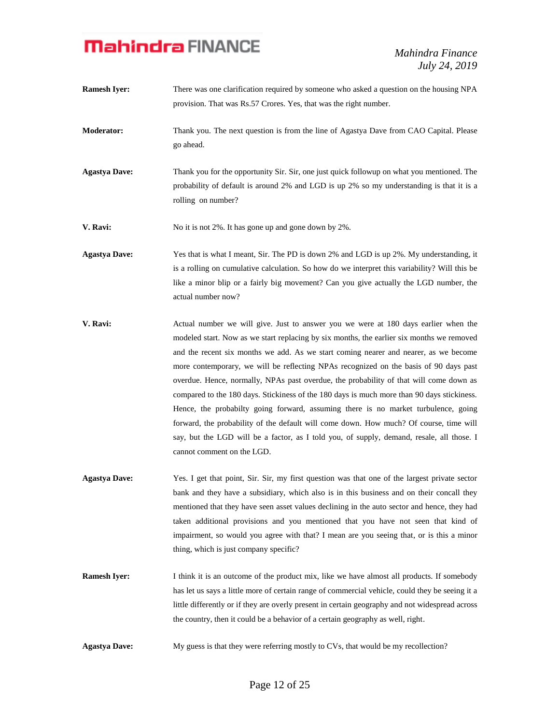*Mahindra Finance July 24, 2019*

- **Ramesh Iver:** There was one clarification required by someone who asked a question on the housing NPA provision. That was Rs.57 Crores. Yes, that was the right number.
- **Moderator:** Thank you. The next question is from the line of Agastya Dave from CAO Capital. Please go ahead.
- **Agastya Dave:** Thank you for the opportunity Sir. Sir, one just quick followup on what you mentioned. The probability of default is around 2% and LGD is up 2% so my understanding is that it is a rolling on number?

**V. Ravi:** No it is not 2%. It has gone up and gone down by 2%.

- **Agastya Dave:** Yes that is what I meant, Sir. The PD is down 2% and LGD is up 2%. My understanding, it is a rolling on cumulative calculation. So how do we interpret this variability? Will this be like a minor blip or a fairly big movement? Can you give actually the LGD number, the actual number now?
- **V. Ravi:** Actual number we will give. Just to answer you we were at 180 days earlier when the modeled start. Now as we start replacing by six months, the earlier six months we removed and the recent six months we add. As we start coming nearer and nearer, as we become more contemporary, we will be reflecting NPAs recognized on the basis of 90 days past overdue. Hence, normally, NPAs past overdue, the probability of that will come down as compared to the 180 days. Stickiness of the 180 days is much more than 90 days stickiness. Hence, the probabilty going forward, assuming there is no market turbulence, going forward, the probability of the default will come down. How much? Of course, time will say, but the LGD will be a factor, as I told you, of supply, demand, resale, all those. I cannot comment on the LGD.
- **Agastya Dave:** Yes. I get that point, Sir. Sir, my first question was that one of the largest private sector bank and they have a subsidiary, which also is in this business and on their concall they mentioned that they have seen asset values declining in the auto sector and hence, they had taken additional provisions and you mentioned that you have not seen that kind of impairment, so would you agree with that? I mean are you seeing that, or is this a minor thing, which is just company specific?
- **Ramesh Iyer:** I think it is an outcome of the product mix, like we have almost all products. If somebody has let us says a little more of certain range of commercial vehicle, could they be seeing it a little differently or if they are overly present in certain geography and not widespread across the country, then it could be a behavior of a certain geography as well, right.
- **Agastya Dave:** My guess is that they were referring mostly to CVs, that would be my recollection?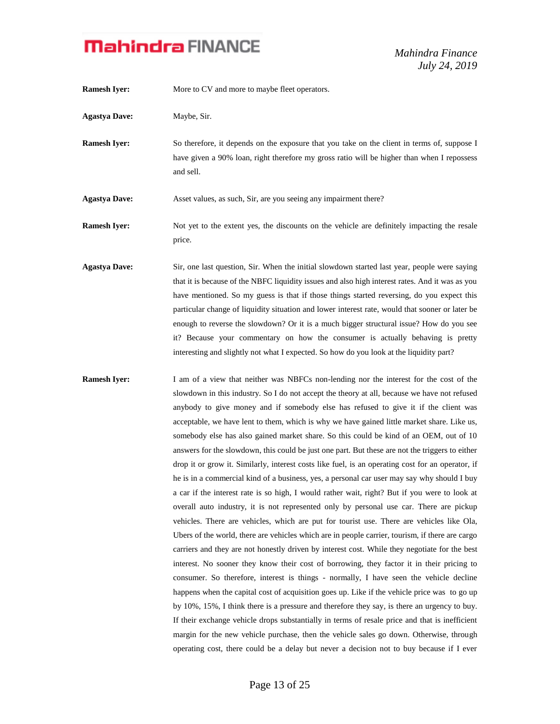*Mahindra Finance July 24, 2019*

**Ramesh Iver:** More to CV and more to maybe fleet operators. **Agastya Dave:** Maybe, Sir. **Ramesh Iyer:** So therefore, it depends on the exposure that you take on the client in terms of, suppose I have given a 90% loan, right therefore my gross ratio will be higher than when I repossess and sell. **Agastya Dave:** Asset values, as such, Sir, are you seeing any impairment there? **Ramesh Iyer:** Not yet to the extent yes, the discounts on the vehicle are definitely impacting the resale price. **Agastya Dave:** Sir, one last question, Sir. When the initial slowdown started last year, people were saying that it is because of the NBFC liquidity issues and also high interest rates. And it was as you have mentioned. So my guess is that if those things started reversing, do you expect this particular change of liquidity situation and lower interest rate, would that sooner or later be enough to reverse the slowdown? Or it is a much bigger structural issue? How do you see it? Because your commentary on how the consumer is actually behaving is pretty interesting and slightly not what I expected. So how do you look at the liquidity part? **Ramesh Iyer:** I am of a view that neither was NBFCs non-lending nor the interest for the cost of the slowdown in this industry. So I do not accept the theory at all, because we have not refused anybody to give money and if somebody else has refused to give it if the client was acceptable, we have lent to them, which is why we have gained little market share. Like us, somebody else has also gained market share. So this could be kind of an OEM, out of 10 answers for the slowdown, this could be just one part. But these are not the triggers to either drop it or grow it. Similarly, interest costs like fuel, is an operating cost for an operator, if he is in a commercial kind of a business, yes, a personal car user may say why should I buy

a car if the interest rate is so high, I would rather wait, right? But if you were to look at overall auto industry, it is not represented only by personal use car. There are pickup vehicles. There are vehicles, which are put for tourist use. There are vehicles like Ola, Ubers of the world, there are vehicles which are in people carrier, tourism, if there are cargo carriers and they are not honestly driven by interest cost. While they negotiate for the best interest. No sooner they know their cost of borrowing, they factor it in their pricing to consumer. So therefore, interest is things - normally, I have seen the vehicle decline happens when the capital cost of acquisition goes up. Like if the vehicle price was to go up by 10%, 15%, I think there is a pressure and therefore they say, is there an urgency to buy. If their exchange vehicle drops substantially in terms of resale price and that is inefficient margin for the new vehicle purchase, then the vehicle sales go down. Otherwise, through operating cost, there could be a delay but never a decision not to buy because if I ever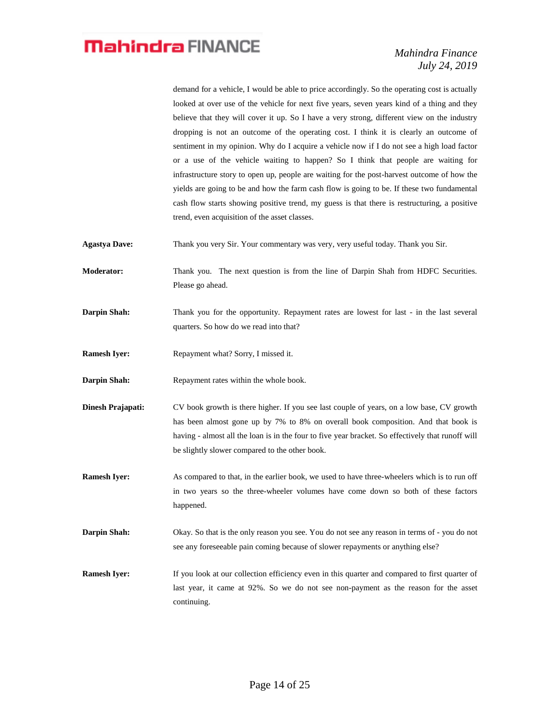demand for a vehicle, I would be able to price accordingly. So the operating cost is actually looked at over use of the vehicle for next five years, seven years kind of a thing and they believe that they will cover it up. So I have a very strong, different view on the industry dropping is not an outcome of the operating cost. I think it is clearly an outcome of sentiment in my opinion. Why do I acquire a vehicle now if I do not see a high load factor or a use of the vehicle waiting to happen? So I think that people are waiting for infrastructure story to open up, people are waiting for the post-harvest outcome of how the yields are going to be and how the farm cash flow is going to be. If these two fundamental cash flow starts showing positive trend, my guess is that there is restructuring, a positive trend, even acquisition of the asset classes.

**Agastya Dave:** Thank you very Sir. Your commentary was very, very useful today. Thank you Sir.

**Moderator:** Thank you. The next question is from the line of Darpin Shah from HDFC Securities. Please go ahead.

**Darpin Shah:** Thank you for the opportunity. Repayment rates are lowest for last - in the last several quarters. So how do we read into that?

**Ramesh Iyer:** Repayment what? Sorry, I missed it.

**Darpin Shah:** Repayment rates within the whole book.

**Dinesh Prajapati:** CV book growth is there higher. If you see last couple of years, on a low base, CV growth has been almost gone up by 7% to 8% on overall book composition. And that book is having - almost all the loan is in the four to five year bracket. So effectively that runoff will be slightly slower compared to the other book.

**Ramesh Iyer:** As compared to that, in the earlier book, we used to have three-wheelers which is to run off in two years so the three-wheeler volumes have come down so both of these factors happened.

**Darpin Shah:** Okay. So that is the only reason you see. You do not see any reason in terms of - you do not see any foreseeable pain coming because of slower repayments or anything else?

**Ramesh Iyer:** If you look at our collection efficiency even in this quarter and compared to first quarter of last year, it came at 92%. So we do not see non-payment as the reason for the asset continuing.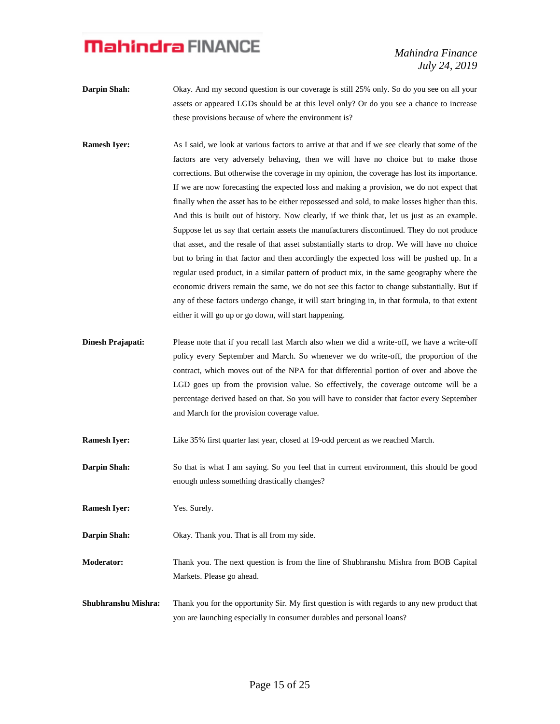*Mahindra Finance July 24, 2019*

- **Darpin Shah:** Okay. And my second question is our coverage is still 25% only. So do you see on all your assets or appeared LGDs should be at this level only? Or do you see a chance to increase these provisions because of where the environment is?
- **Ramesh Iyer:** As I said, we look at various factors to arrive at that and if we see clearly that some of the factors are very adversely behaving, then we will have no choice but to make those corrections. But otherwise the coverage in my opinion, the coverage has lost its importance. If we are now forecasting the expected loss and making a provision, we do not expect that finally when the asset has to be either repossessed and sold, to make losses higher than this. And this is built out of history. Now clearly, if we think that, let us just as an example. Suppose let us say that certain assets the manufacturers discontinued. They do not produce that asset, and the resale of that asset substantially starts to drop. We will have no choice but to bring in that factor and then accordingly the expected loss will be pushed up. In a regular used product, in a similar pattern of product mix, in the same geography where the economic drivers remain the same, we do not see this factor to change substantially. But if any of these factors undergo change, it will start bringing in, in that formula, to that extent either it will go up or go down, will start happening.
- **Dinesh Prajapati:** Please note that if you recall last March also when we did a write-off, we have a write-off policy every September and March. So whenever we do write-off, the proportion of the contract, which moves out of the NPA for that differential portion of over and above the LGD goes up from the provision value. So effectively, the coverage outcome will be a percentage derived based on that. So you will have to consider that factor every September and March for the provision coverage value.
- **Ramesh Iyer:** Like 35% first quarter last year, closed at 19-odd percent as we reached March.
- **Darpin Shah:** So that is what I am saying. So you feel that in current environment, this should be good enough unless something drastically changes?
- **Ramesh Iyer:** Yes. Surely.
- **Darpin Shah:** Okay. Thank you. That is all from my side.
- **Moderator:** Thank you. The next question is from the line of Shubhranshu Mishra from BOB Capital Markets. Please go ahead.
- **Shubhranshu Mishra:** Thank you for the opportunity Sir. My first question is with regards to any new product that you are launching especially in consumer durables and personal loans?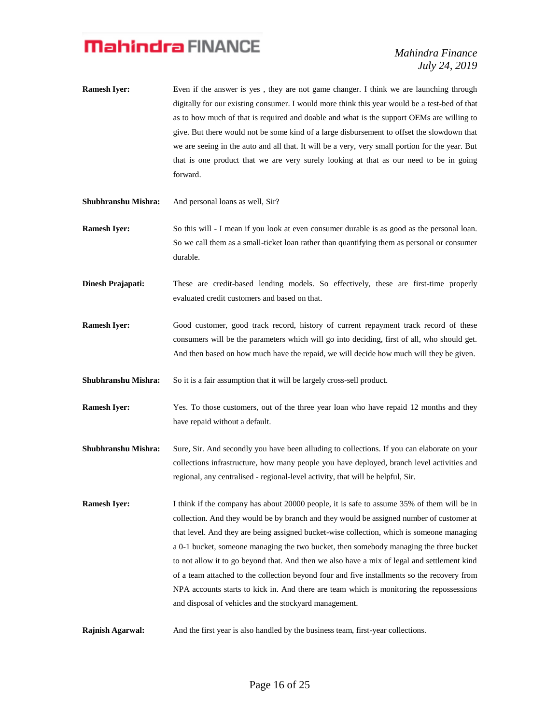- **Ramesh Iyer:** Even if the answer is yes, they are not game changer. I think we are launching through digitally for our existing consumer. I would more think this year would be a test-bed of that as to how much of that is required and doable and what is the support OEMs are willing to give. But there would not be some kind of a large disbursement to offset the slowdown that we are seeing in the auto and all that. It will be a very, very small portion for the year. But that is one product that we are very surely looking at that as our need to be in going forward.
- **Shubhranshu Mishra:** And personal loans as well, Sir?
- **Ramesh Iyer:** So this will I mean if you look at even consumer durable is as good as the personal loan. So we call them as a small-ticket loan rather than quantifying them as personal or consumer durable.
- **Dinesh Prajapati:** These are credit-based lending models. So effectively, these are first-time properly evaluated credit customers and based on that.
- **Ramesh Iyer:** Good customer, good track record, history of current repayment track record of these consumers will be the parameters which will go into deciding, first of all, who should get. And then based on how much have the repaid, we will decide how much will they be given.
- **Shubhranshu Mishra:** So it is a fair assumption that it will be largely cross-sell product.
- **Ramesh Iyer:** Yes. To those customers, out of the three year loan who have repaid 12 months and they have repaid without a default.
- **Shubhranshu Mishra:** Sure, Sir. And secondly you have been alluding to collections. If you can elaborate on your collections infrastructure, how many people you have deployed, branch level activities and regional, any centralised - regional-level activity, that will be helpful, Sir.
- **Ramesh Iyer:** I think if the company has about 20000 people, it is safe to assume 35% of them will be in collection. And they would be by branch and they would be assigned number of customer at that level. And they are being assigned bucket-wise collection, which is someone managing a 0-1 bucket, someone managing the two bucket, then somebody managing the three bucket to not allow it to go beyond that. And then we also have a mix of legal and settlement kind of a team attached to the collection beyond four and five installments so the recovery from NPA accounts starts to kick in. And there are team which is monitoring the repossessions and disposal of vehicles and the stockyard management.
- **Rajnish Agarwal:** And the first year is also handled by the business team, first-year collections.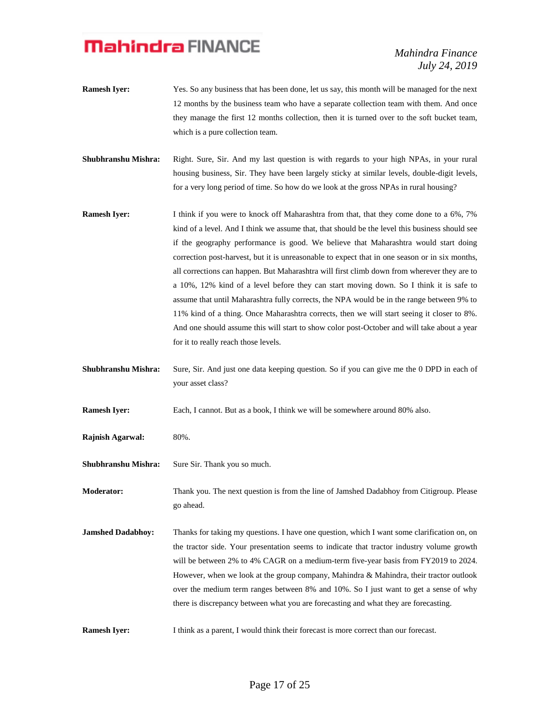*Mahindra Finance July 24, 2019*

- **Ramesh Iyer:** Yes. So any business that has been done, let us say, this month will be managed for the next 12 months by the business team who have a separate collection team with them. And once they manage the first 12 months collection, then it is turned over to the soft bucket team, which is a pure collection team.
- **Shubhranshu Mishra:** Right. Sure, Sir. And my last question is with regards to your high NPAs, in your rural housing business, Sir. They have been largely sticky at similar levels, double-digit levels, for a very long period of time. So how do we look at the gross NPAs in rural housing?
- **Ramesh Iyer:** I think if you were to knock off Maharashtra from that, that they come done to a 6%, 7% kind of a level. And I think we assume that, that should be the level this business should see if the geography performance is good. We believe that Maharashtra would start doing correction post-harvest, but it is unreasonable to expect that in one season or in six months, all corrections can happen. But Maharashtra will first climb down from wherever they are to a 10%, 12% kind of a level before they can start moving down. So I think it is safe to assume that until Maharashtra fully corrects, the NPA would be in the range between 9% to 11% kind of a thing. Once Maharashtra corrects, then we will start seeing it closer to 8%. And one should assume this will start to show color post-October and will take about a year for it to really reach those levels.
- **Shubhranshu Mishra:** Sure, Sir. And just one data keeping question. So if you can give me the 0 DPD in each of your asset class?
- **Ramesh Iyer:** Each, I cannot. But as a book, I think we will be somewhere around 80% also.
- **Rajnish Agarwal:** 80%.
- Shubhranshu Mishra: Sure Sir. Thank you so much.

**Moderator:** Thank you. The next question is from the line of Jamshed Dadabhoy from Citigroup. Please go ahead.

- **Jamshed Dadabhoy:** Thanks for taking my questions. I have one question, which I want some clarification on, on the tractor side. Your presentation seems to indicate that tractor industry volume growth will be between 2% to 4% CAGR on a medium-term five-year basis from FY2019 to 2024. However, when we look at the group company, Mahindra & Mahindra, their tractor outlook over the medium term ranges between 8% and 10%. So I just want to get a sense of why there is discrepancy between what you are forecasting and what they are forecasting.
- **Ramesh Iver:** I think as a parent, I would think their forecast is more correct than our forecast.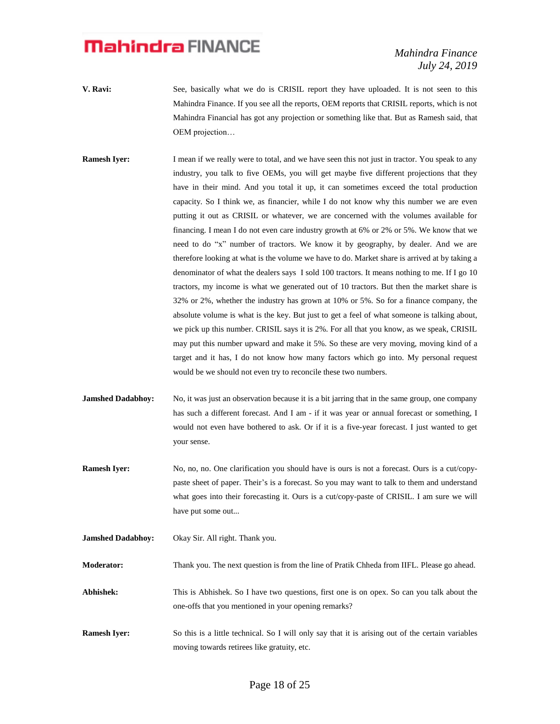*Mahindra Finance July 24, 2019*

- **V. Ravi:** See, basically what we do is CRISIL report they have uploaded. It is not seen to this Mahindra Finance. If you see all the reports, OEM reports that CRISIL reports, which is not Mahindra Financial has got any projection or something like that. But as Ramesh said, that OEM projection…
- **Ramesh Iyer:** I mean if we really were to total, and we have seen this not just in tractor. You speak to any industry, you talk to five OEMs, you will get maybe five different projections that they have in their mind. And you total it up, it can sometimes exceed the total production capacity. So I think we, as financier, while I do not know why this number we are even putting it out as CRISIL or whatever, we are concerned with the volumes available for financing. I mean I do not even care industry growth at 6% or 2% or 5%. We know that we need to do "x" number of tractors. We know it by geography, by dealer. And we are therefore looking at what is the volume we have to do. Market share is arrived at by taking a denominator of what the dealers says I sold 100 tractors. It means nothing to me. If I go 10 tractors, my income is what we generated out of 10 tractors. But then the market share is 32% or 2%, whether the industry has grown at 10% or 5%. So for a finance company, the absolute volume is what is the key. But just to get a feel of what someone is talking about, we pick up this number. CRISIL says it is 2%. For all that you know, as we speak, CRISIL may put this number upward and make it 5%. So these are very moving, moving kind of a target and it has, I do not know how many factors which go into. My personal request would be we should not even try to reconcile these two numbers.
- **Jamshed Dadabhoy:** No, it was just an observation because it is a bit jarring that in the same group, one company has such a different forecast. And I am - if it was year or annual forecast or something, I would not even have bothered to ask. Or if it is a five-year forecast. I just wanted to get your sense.
- **Ramesh Iyer:** No, no, no. One clarification you should have is ours is not a forecast. Ours is a cut/copypaste sheet of paper. Their's is a forecast. So you may want to talk to them and understand what goes into their forecasting it. Ours is a cut/copy-paste of CRISIL. I am sure we will have put some out...
- **Jamshed Dadabhoy:** Okay Sir. All right. Thank you.

**Moderator:** Thank you. The next question is from the line of Pratik Chheda from IIFL. Please go ahead.

- **Abhishek:** This is Abhishek. So I have two questions, first one is on opex. So can you talk about the one-offs that you mentioned in your opening remarks?
- **Ramesh Iyer:** So this is a little technical. So I will only say that it is arising out of the certain variables moving towards retirees like gratuity, etc.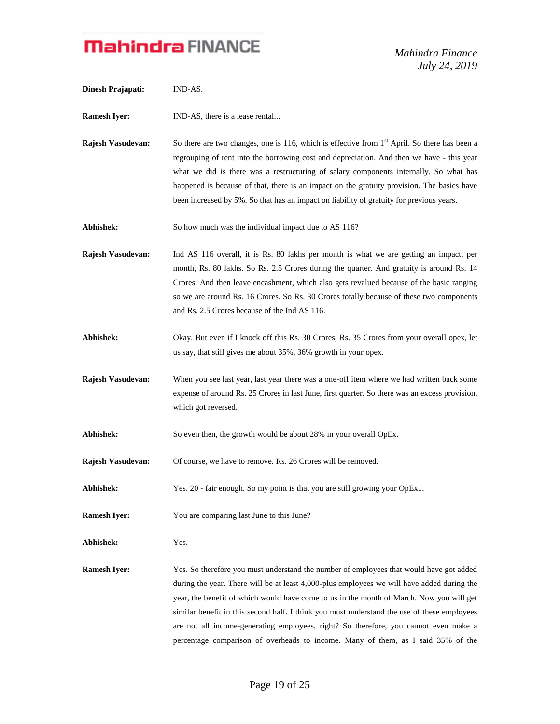*Mahindra Finance July 24, 2019*

| Dinesh Prajapati:        | IND-AS.                                                                                                                                                                                                                                                                                                                                                                                                                                                                                                                                                      |
|--------------------------|--------------------------------------------------------------------------------------------------------------------------------------------------------------------------------------------------------------------------------------------------------------------------------------------------------------------------------------------------------------------------------------------------------------------------------------------------------------------------------------------------------------------------------------------------------------|
| <b>Ramesh Iyer:</b>      | IND-AS, there is a lease rental                                                                                                                                                                                                                                                                                                                                                                                                                                                                                                                              |
| Rajesh Vasudevan:        | So there are two changes, one is 116, which is effective from 1 <sup>st</sup> April. So there has been a<br>regrouping of rent into the borrowing cost and depreciation. And then we have - this year<br>what we did is there was a restructuring of salary components internally. So what has<br>happened is because of that, there is an impact on the gratuity provision. The basics have<br>been increased by 5%. So that has an impact on liability of gratuity for previous years.                                                                     |
| Abhishek:                | So how much was the individual impact due to AS 116?                                                                                                                                                                                                                                                                                                                                                                                                                                                                                                         |
| <b>Rajesh Vasudevan:</b> | Ind AS 116 overall, it is Rs. 80 lakhs per month is what we are getting an impact, per<br>month, Rs. 80 lakhs. So Rs. 2.5 Crores during the quarter. And gratuity is around Rs. 14<br>Crores. And then leave encashment, which also gets revalued because of the basic ranging<br>so we are around Rs. 16 Crores. So Rs. 30 Crores totally because of these two components<br>and Rs. 2.5 Crores because of the Ind AS 116.                                                                                                                                  |
| Abhishek:                | Okay. But even if I knock off this Rs. 30 Crores, Rs. 35 Crores from your overall opex, let<br>us say, that still gives me about 35%, 36% growth in your opex.                                                                                                                                                                                                                                                                                                                                                                                               |
| Rajesh Vasudevan:        | When you see last year, last year there was a one-off item where we had written back some<br>expense of around Rs. 25 Crores in last June, first quarter. So there was an excess provision,<br>which got reversed.                                                                                                                                                                                                                                                                                                                                           |
| Abhishek:                | So even then, the growth would be about 28% in your overall OpEx.                                                                                                                                                                                                                                                                                                                                                                                                                                                                                            |
| Rajesh Vasudevan:        | Of course, we have to remove. Rs. 26 Crores will be removed.                                                                                                                                                                                                                                                                                                                                                                                                                                                                                                 |
| Abhishek:                | Yes. 20 - fair enough. So my point is that you are still growing your OpEx                                                                                                                                                                                                                                                                                                                                                                                                                                                                                   |
| <b>Ramesh Iyer:</b>      | You are comparing last June to this June?                                                                                                                                                                                                                                                                                                                                                                                                                                                                                                                    |
| Abhishek:                | Yes.                                                                                                                                                                                                                                                                                                                                                                                                                                                                                                                                                         |
| <b>Ramesh Iyer:</b>      | Yes. So therefore you must understand the number of employees that would have got added<br>during the year. There will be at least 4,000-plus employees we will have added during the<br>year, the benefit of which would have come to us in the month of March. Now you will get<br>similar benefit in this second half. I think you must understand the use of these employees<br>are not all income-generating employees, right? So therefore, you cannot even make a<br>percentage comparison of overheads to income. Many of them, as I said 35% of the |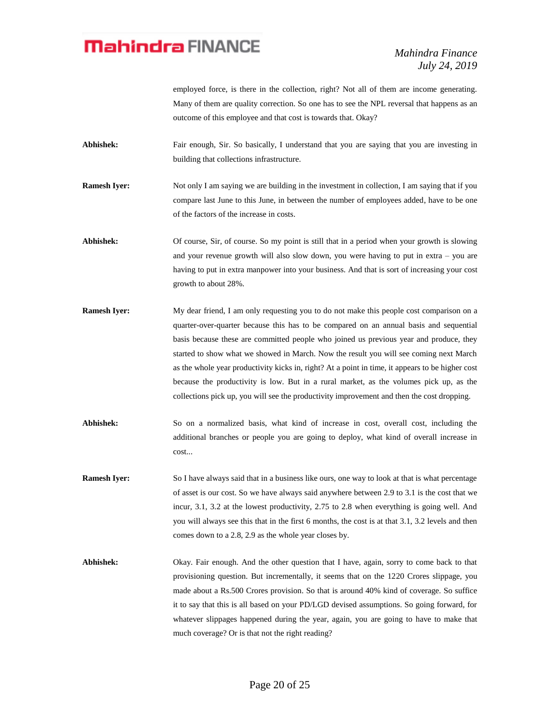*Mahindra Finance July 24, 2019*

employed force, is there in the collection, right? Not all of them are income generating. Many of them are quality correction. So one has to see the NPL reversal that happens as an outcome of this employee and that cost is towards that. Okay?

Abhishek: Fair enough, Sir. So basically, I understand that you are saying that you are investing in building that collections infrastructure.

**Ramesh Iyer:** Not only I am saying we are building in the investment in collection, I am saying that if you compare last June to this June, in between the number of employees added, have to be one of the factors of the increase in costs.

**Abhishek:** Of course, Sir, of course. So my point is still that in a period when your growth is slowing and your revenue growth will also slow down, you were having to put in extra – you are having to put in extra manpower into your business. And that is sort of increasing your cost growth to about 28%.

- **Ramesh Iyer:** My dear friend, I am only requesting you to do not make this people cost comparison on a quarter-over-quarter because this has to be compared on an annual basis and sequential basis because these are committed people who joined us previous year and produce, they started to show what we showed in March. Now the result you will see coming next March as the whole year productivity kicks in, right? At a point in time, it appears to be higher cost because the productivity is low. But in a rural market, as the volumes pick up, as the collections pick up, you will see the productivity improvement and then the cost dropping.
- **Abhishek:** So on a normalized basis, what kind of increase in cost, overall cost, including the additional branches or people you are going to deploy, what kind of overall increase in cost...
- **Ramesh Iyer:** So I have always said that in a business like ours, one way to look at that is what percentage of asset is our cost. So we have always said anywhere between 2.9 to 3.1 is the cost that we incur, 3.1, 3.2 at the lowest productivity, 2.75 to 2.8 when everything is going well. And you will always see this that in the first 6 months, the cost is at that 3.1, 3.2 levels and then comes down to a 2.8, 2.9 as the whole year closes by.
- **Abhishek:** Okay. Fair enough. And the other question that I have, again, sorry to come back to that provisioning question. But incrementally, it seems that on the 1220 Crores slippage, you made about a Rs.500 Crores provision. So that is around 40% kind of coverage. So suffice it to say that this is all based on your PD/LGD devised assumptions. So going forward, for whatever slippages happened during the year, again, you are going to have to make that much coverage? Or is that not the right reading?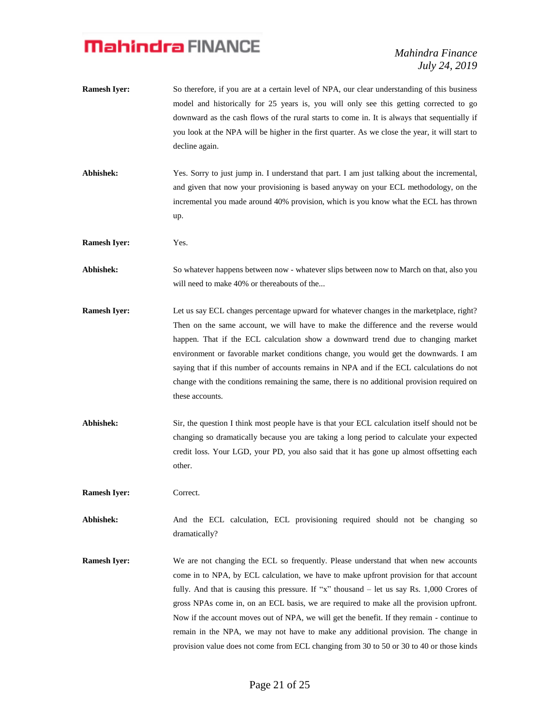*Mahindra Finance July 24, 2019*

- **Ramesh Iyer:** So therefore, if you are at a certain level of NPA, our clear understanding of this business model and historically for 25 years is, you will only see this getting corrected to go downward as the cash flows of the rural starts to come in. It is always that sequentially if you look at the NPA will be higher in the first quarter. As we close the year, it will start to decline again.
- **Abhishek:** Yes. Sorry to just jump in. I understand that part. I am just talking about the incremental, and given that now your provisioning is based anyway on your ECL methodology, on the incremental you made around 40% provision, which is you know what the ECL has thrown up.
- **Ramesh Iyer:** Yes.
- **Abhishek:** So whatever happens between now whatever slips between now to March on that, also you will need to make 40% or thereabouts of the...
- **Ramesh Iyer:** Let us say ECL changes percentage upward for whatever changes in the marketplace, right? Then on the same account, we will have to make the difference and the reverse would happen. That if the ECL calculation show a downward trend due to changing market environment or favorable market conditions change, you would get the downwards. I am saying that if this number of accounts remains in NPA and if the ECL calculations do not change with the conditions remaining the same, there is no additional provision required on these accounts.
- **Abhishek:** Sir, the question I think most people have is that your ECL calculation itself should not be changing so dramatically because you are taking a long period to calculate your expected credit loss. Your LGD, your PD, you also said that it has gone up almost offsetting each other.

**Ramesh Iver:** Correct.

Abhishek: And the ECL calculation, ECL provisioning required should not be changing so dramatically?

**Ramesh Iyer:** We are not changing the ECL so frequently. Please understand that when new accounts come in to NPA, by ECL calculation, we have to make upfront provision for that account fully. And that is causing this pressure. If "x" thousand – let us say Rs. 1,000 Crores of gross NPAs come in, on an ECL basis, we are required to make all the provision upfront. Now if the account moves out of NPA, we will get the benefit. If they remain - continue to remain in the NPA, we may not have to make any additional provision. The change in provision value does not come from ECL changing from 30 to 50 or 30 to 40 or those kinds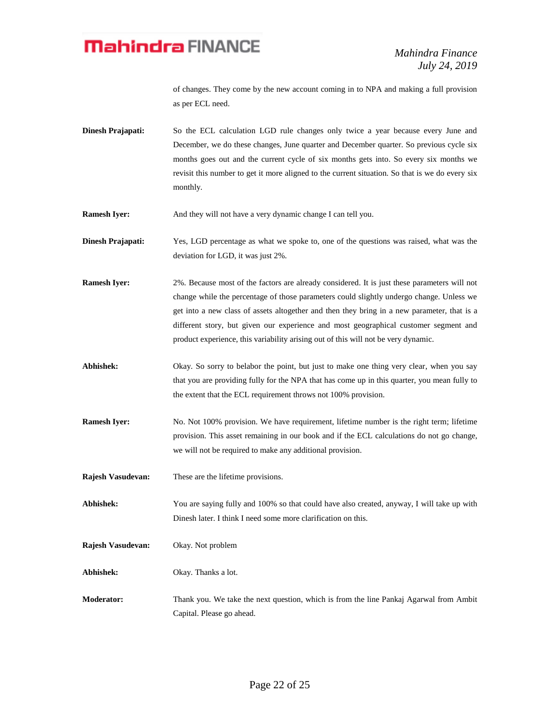of changes. They come by the new account coming in to NPA and making a full provision as per ECL need.

- **Dinesh Prajapati:** So the ECL calculation LGD rule changes only twice a year because every June and December, we do these changes, June quarter and December quarter. So previous cycle six months goes out and the current cycle of six months gets into. So every six months we revisit this number to get it more aligned to the current situation. So that is we do every six monthly.
- **Ramesh Iyer:** And they will not have a very dynamic change I can tell you.
- **Dinesh Prajapati:** Yes, LGD percentage as what we spoke to, one of the questions was raised, what was the deviation for LGD, it was just 2%.
- **Ramesh Iyer:** 2%. Because most of the factors are already considered. It is just these parameters will not change while the percentage of those parameters could slightly undergo change. Unless we get into a new class of assets altogether and then they bring in a new parameter, that is a different story, but given our experience and most geographical customer segment and product experience, this variability arising out of this will not be very dynamic.
- Abhishek: Okay. So sorry to belabor the point, but just to make one thing very clear, when you say that you are providing fully for the NPA that has come up in this quarter, you mean fully to the extent that the ECL requirement throws not 100% provision.
- **Ramesh Iyer:** No. Not 100% provision. We have requirement, lifetime number is the right term; lifetime provision. This asset remaining in our book and if the ECL calculations do not go change, we will not be required to make any additional provision.
- **Rajesh Vasudevan:** These are the lifetime provisions.

**Abhishek:** You are saying fully and 100% so that could have also created, anyway, I will take up with Dinesh later. I think I need some more clarification on this.

- **Rajesh Vasudevan:** Okay. Not problem
- **Abhishek:** Okay. Thanks a lot.
- **Moderator:** Thank you. We take the next question, which is from the line Pankaj Agarwal from Ambit Capital. Please go ahead.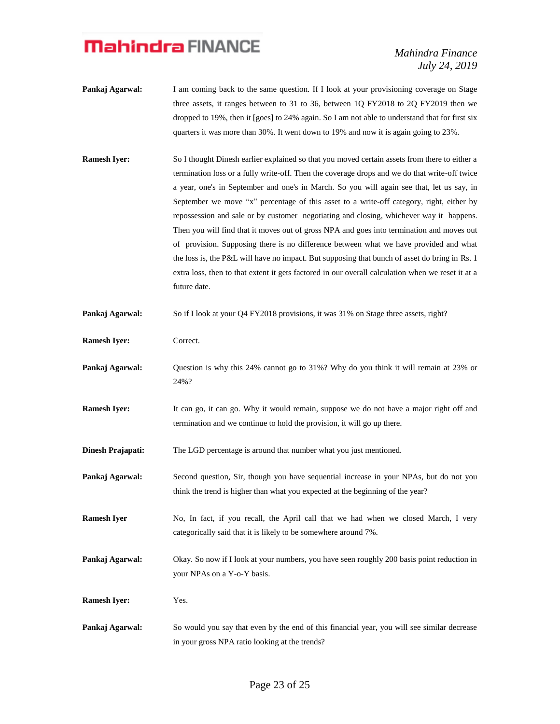*Mahindra Finance July 24, 2019*

- **Pankaj Agarwal:** I am coming back to the same question. If I look at your provisioning coverage on Stage three assets, it ranges between to 31 to 36, between 1Q FY2018 to 2Q FY2019 then we dropped to 19%, then it [goes] to 24% again. So I am not able to understand that for first six quarters it was more than 30%. It went down to 19% and now it is again going to 23%.
- **Ramesh Iyer:** So I thought Dinesh earlier explained so that you moved certain assets from there to either a termination loss or a fully write-off. Then the coverage drops and we do that write-off twice a year, one's in September and one's in March. So you will again see that, let us say, in September we move "x" percentage of this asset to a write-off category, right, either by repossession and sale or by customer negotiating and closing, whichever way it happens. Then you will find that it moves out of gross NPA and goes into termination and moves out of provision. Supposing there is no difference between what we have provided and what the loss is, the P&L will have no impact. But supposing that bunch of asset do bring in Rs. 1 extra loss, then to that extent it gets factored in our overall calculation when we reset it at a future date.
- **Pankaj Agarwal:** So if I look at your Q4 FY2018 provisions, it was 31% on Stage three assets, right?
- **Ramesh Iyer:** Correct.
- **Pankaj Agarwal:** Question is why this 24% cannot go to 31%? Why do you think it will remain at 23% or 24%?
- **Ramesh Iyer:** It can go, it can go. Why it would remain, suppose we do not have a major right off and termination and we continue to hold the provision, it will go up there.
- **Dinesh Prajapati:** The LGD percentage is around that number what you just mentioned.
- **Pankaj Agarwal:** Second question, Sir, though you have sequential increase in your NPAs, but do not you think the trend is higher than what you expected at the beginning of the year?
- **Ramesh Iyer** No, In fact, if you recall, the April call that we had when we closed March, I very categorically said that it is likely to be somewhere around 7%.
- **Pankaj Agarwal:** Okay. So now if I look at your numbers, you have seen roughly 200 basis point reduction in your NPAs on a Y-o-Y basis.
- **Ramesh Iyer:** Yes.
- **Pankaj Agarwal:** So would you say that even by the end of this financial year, you will see similar decrease in your gross NPA ratio looking at the trends?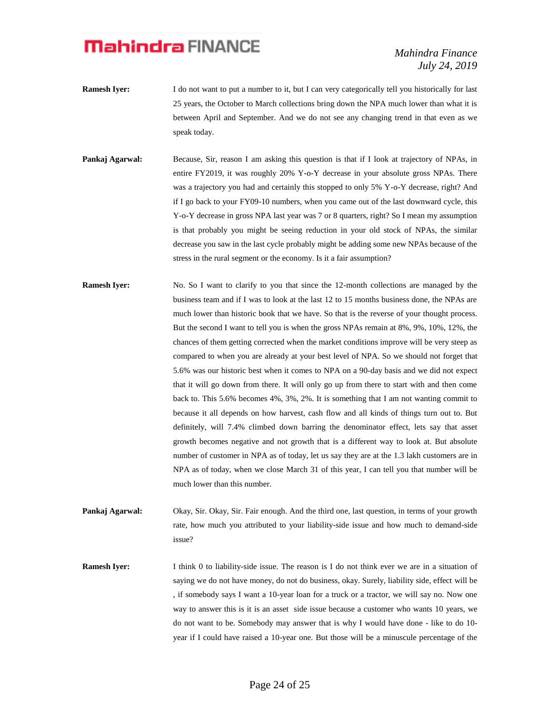*Mahindra Finance July 24, 2019*

- **Ramesh Iyer:** I do not want to put a number to it, but I can very categorically tell you historically for last 25 years, the October to March collections bring down the NPA much lower than what it is between April and September. And we do not see any changing trend in that even as we speak today.
- **Pankaj Agarwal:** Because, Sir, reason I am asking this question is that if I look at trajectory of NPAs, in entire FY2019, it was roughly 20% Y-o-Y decrease in your absolute gross NPAs. There was a trajectory you had and certainly this stopped to only 5% Y-o-Y decrease, right? And if I go back to your FY09-10 numbers, when you came out of the last downward cycle, this Y-o-Y decrease in gross NPA last year was 7 or 8 quarters, right? So I mean my assumption is that probably you might be seeing reduction in your old stock of NPAs, the similar decrease you saw in the last cycle probably might be adding some new NPAs because of the stress in the rural segment or the economy. Is it a fair assumption?
- **Ramesh Iyer:** No. So I want to clarify to you that since the 12-month collections are managed by the business team and if I was to look at the last 12 to 15 months business done, the NPAs are much lower than historic book that we have. So that is the reverse of your thought process. But the second I want to tell you is when the gross NPAs remain at 8%, 9%, 10%, 12%, the chances of them getting corrected when the market conditions improve will be very steep as compared to when you are already at your best level of NPA. So we should not forget that 5.6% was our historic best when it comes to NPA on a 90-day basis and we did not expect that it will go down from there. It will only go up from there to start with and then come back to. This 5.6% becomes 4%, 3%, 2%. It is something that I am not wanting commit to because it all depends on how harvest, cash flow and all kinds of things turn out to. But definitely, will 7.4% climbed down barring the denominator effect, lets say that asset growth becomes negative and not growth that is a different way to look at. But absolute number of customer in NPA as of today, let us say they are at the 1.3 lakh customers are in NPA as of today, when we close March 31 of this year, I can tell you that number will be much lower than this number.
- Pankaj Agarwal: Okay, Sir. Okay, Sir. Fair enough. And the third one, last question, in terms of your growth rate, how much you attributed to your liability-side issue and how much to demand-side issue?

**Ramesh Iyer:** I think 0 to liability-side issue. The reason is I do not think ever we are in a situation of saying we do not have money, do not do business, okay. Surely, liability side, effect will be , if somebody says I want a 10-year loan for a truck or a tractor, we will say no. Now one way to answer this is it is an asset side issue because a customer who wants 10 years, we do not want to be. Somebody may answer that is why I would have done - like to do 10 year if I could have raised a 10-year one. But those will be a minuscule percentage of the